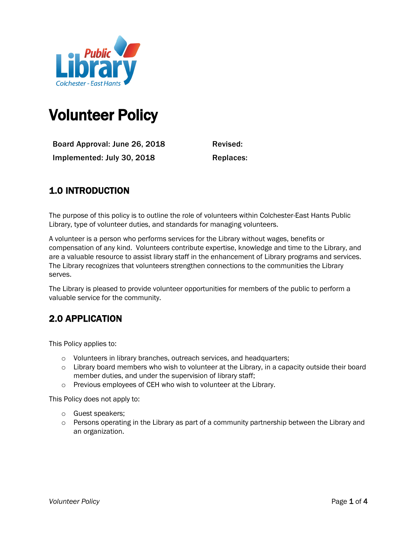

# Volunteer Policy

Board Approval: June 26, 2018 Revised: Implemented: July 30, 2018 Replaces:

# 1.0 INTRODUCTION

The purpose of this policy is to outline the role of volunteers within Colchester-East Hants Public Library, type of volunteer duties, and standards for managing volunteers.

A volunteer is a person who performs services for the Library without wages, benefits or compensation of any kind. Volunteers contribute expertise, knowledge and time to the Library, and are a valuable resource to assist library staff in the enhancement of Library programs and services. The Library recognizes that volunteers strengthen connections to the communities the Library serves.

The Library is pleased to provide volunteer opportunities for members of the public to perform a valuable service for the community.

# 2.0 APPLICATION

This Policy applies to:

- o Volunteers in library branches, outreach services, and headquarters;
- o Library board members who wish to volunteer at the Library, in a capacity outside their board member duties, and under the supervision of library staff;
- o Previous employees of CEH who wish to volunteer at the Library.

This Policy does not apply to:

- o Guest speakers;
- $\circ$  Persons operating in the Library as part of a community partnership between the Library and an organization.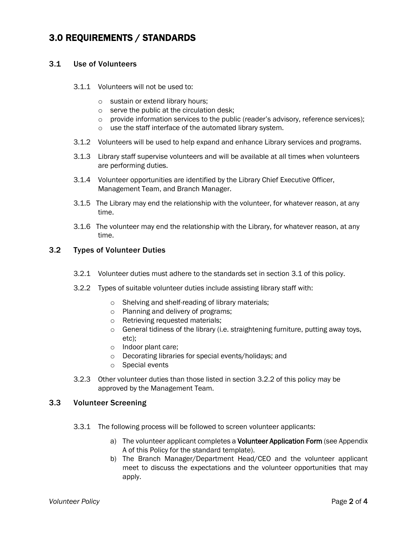## 3.0 REQUIREMENTS / STANDARDS

#### 3.1 Use of Volunteers

- 3.1.1 Volunteers will not be used to:
	- o sustain or extend library hours;
	- o serve the public at the circulation desk;
	- $\circ$  provide information services to the public (reader's advisory, reference services);
	- o use the staff interface of the automated library system.
- 3.1.2 Volunteers will be used to help expand and enhance Library services and programs.
- 3.1.3 Library staff supervise volunteers and will be available at all times when volunteers are performing duties.
- 3.1.4 Volunteer opportunities are identified by the Library Chief Executive Officer, Management Team, and Branch Manager.
- 3.1.5 The Library may end the relationship with the volunteer, for whatever reason, at any time.
- 3.1.6 The volunteer may end the relationship with the Library, for whatever reason, at any time.

#### 3.2 Types of Volunteer Duties

- 3.2.1 Volunteer duties must adhere to the standards set in section 3.1 of this policy.
- 3.2.2 Types of suitable volunteer duties include assisting library staff with:
	- o Shelving and shelf-reading of library materials;
	- o Planning and delivery of programs;
	- o Retrieving requested materials;
	- o General tidiness of the library (i.e. straightening furniture, putting away toys, etc);
	- o Indoor plant care;
	- o Decorating libraries for special events/holidays; and
	- o Special events
- 3.2.3 Other volunteer duties than those listed in section 3.2.2 of this policy may be approved by the Management Team.

## 3.3 Volunteer Screening

- 3.3.1 The following process will be followed to screen volunteer applicants:
	- a) The volunteer applicant completes a Volunteer Application Form (see Appendix A of this Policy for the standard template).
	- b) The Branch Manager/Department Head/CEO and the volunteer applicant meet to discuss the expectations and the volunteer opportunities that may apply.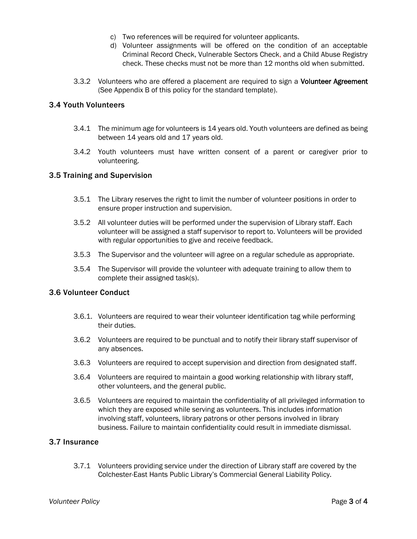- c) Two references will be required for volunteer applicants.
- d) Volunteer assignments will be offered on the condition of an acceptable Criminal Record Check, Vulnerable Sectors Check, and a Child Abuse Registry check. These checks must not be more than 12 months old when submitted.
- 3.3.2 Volunteers who are offered a placement are required to sign a Volunteer Agreement (See Appendix B of this policy for the standard template).

## 3.4 Youth Volunteers

- 3.4.1 The minimum age for volunteers is 14 years old. Youth volunteers are defined as being between 14 years old and 17 years old.
- 3.4.2 Youth volunteers must have written consent of a parent or caregiver prior to volunteering.

#### 3.5 Training and Supervision

- 3.5.1 The Library reserves the right to limit the number of volunteer positions in order to ensure proper instruction and supervision.
- 3.5.2 All volunteer duties will be performed under the supervision of Library staff. Each volunteer will be assigned a staff supervisor to report to. Volunteers will be provided with regular opportunities to give and receive feedback.
- 3.5.3 The Supervisor and the volunteer will agree on a regular schedule as appropriate.
- 3.5.4 The Supervisor will provide the volunteer with adequate training to allow them to complete their assigned task(s).

#### 3.6 Volunteer Conduct

- 3.6.1. Volunteers are required to wear their volunteer identification tag while performing their duties.
- 3.6.2 Volunteers are required to be punctual and to notify their library staff supervisor of any absences.
- 3.6.3 Volunteers are required to accept supervision and direction from designated staff.
- 3.6.4 Volunteers are required to maintain a good working relationship with library staff, other volunteers, and the general public.
- 3.6.5 Volunteers are required to maintain the confidentiality of all privileged information to which they are exposed while serving as volunteers. This includes information involving staff, volunteers, library patrons or other persons involved in library business. Failure to maintain confidentiality could result in immediate dismissal.

## 3.7 Insurance

3.7.1 Volunteers providing service under the direction of Library staff are covered by the Colchester-East Hants Public Library's Commercial General Liability Policy.